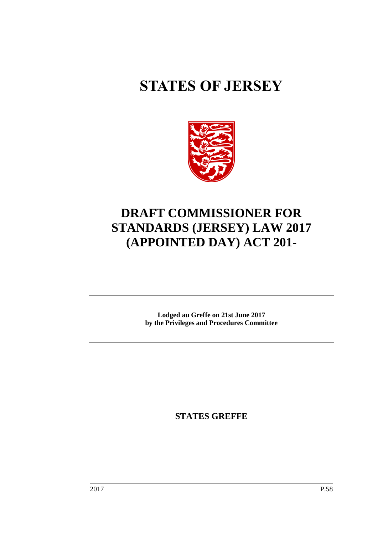# **STATES OF JERSEY**



## **DRAFT COMMISSIONER FOR STANDARDS (JERSEY) LAW 2017 (APPOINTED DAY) ACT 201-**

**Lodged au Greffe on 21st June 2017 by the Privileges and Procedures Committee**

**STATES GREFFE**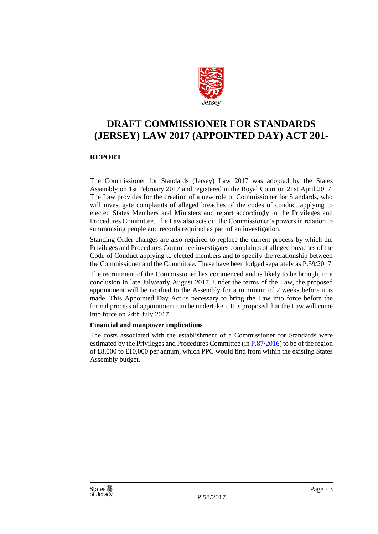

### **DRAFT COMMISSIONER FOR STANDARDS (JERSEY) LAW 2017 (APPOINTED DAY) ACT 201-**

#### **REPORT**

The Commissioner for Standards (Jersey) Law 2017 was adopted by the States Assembly on 1st February 2017 and registered in the Royal Court on 21st April 2017. The Law provides for the creation of a new role of Commissioner for Standards, who will investigate complaints of alleged breaches of the codes of conduct applying to elected States Members and Ministers and report accordingly to the Privileges and Procedures Committee. The Law also sets out the Commissioner's powers in relation to summonsing people and records required as part of an investigation.

Standing Order changes are also required to replace the current process by which the Privileges and Procedures Committee investigates complaints of alleged breaches of the Code of Conduct applying to elected members and to specify the relationship between the Commissioner and the Committee. These have been lodged separately as P.59/2017.

The recruitment of the Commissioner has commenced and is likely to be brought to a conclusion in late July/early August 2017. Under the terms of the Law, the proposed appointment will be notified to the Assembly for a minimum of 2 weeks before it is made. This Appointed Day Act is necessary to bring the Law into force before the formal process of appointment can be undertaken. It is proposed that the Law will come into force on 24th July 2017.

#### **Financial and manpower implications**

The costs associated with the establishment of a Commissioner for Standards were estimated by the Privileges and Procedures Committee (in  $P.87/2016$ ) to be of the region of £8,000 to £10,000 per annum, which PPC would find from within the existing States Assembly budget.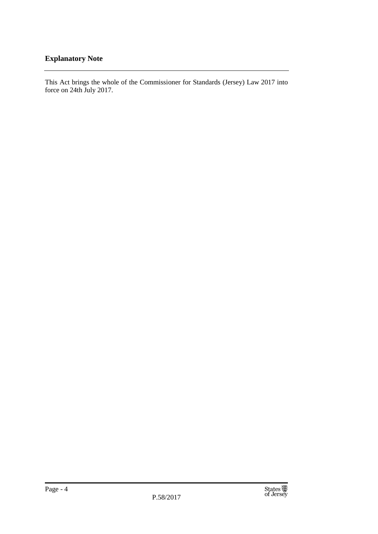#### **Explanatory Note**

This Act brings the whole of the Commissioner for Standards (Jersey) Law 2017 into force on 24th July 2017.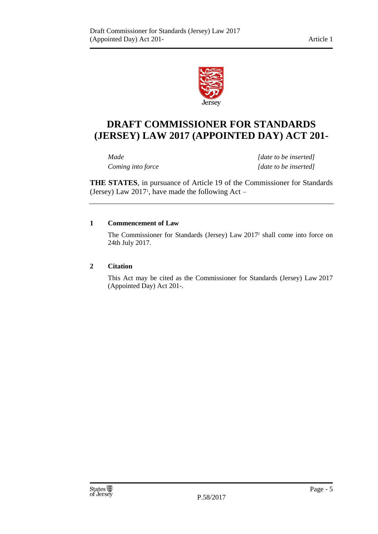

## **DRAFT COMMISSIONER FOR STANDARDS (JERSEY) LAW 2017 (APPOINTED DAY) ACT 201-**

*Made [date to be inserted] Coming into force [date to be inserted]*

**THE STATES**, in pursuance of Article 19 of the Commissioner for Standards (Jersey) Law  $2017$ <sup>1</sup>, have made the following Act  $-$ 

#### **1 Commencement of Law**

The Commissioner for Standards (Jersey) Law 2017<sup>2</sup> shall come into force on 24th July 2017.

#### **2 Citation**

This Act may be cited as the Commissioner for Standards (Jersey) Law 2017 (Appointed Day) Act 201-.